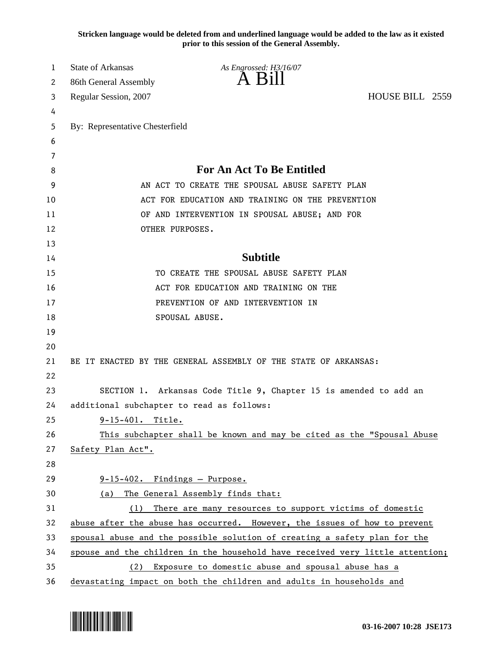**Stricken language would be deleted from and underlined language would be added to the law as it existed prior to this session of the General Assembly.**

| 1  | <b>State of Arkansas</b>                  | As Engrossed: H3/16/07                                                        |                 |
|----|-------------------------------------------|-------------------------------------------------------------------------------|-----------------|
| 2  | 86th General Assembly                     | A Bill                                                                        |                 |
| 3  | Regular Session, 2007                     |                                                                               | HOUSE BILL 2559 |
| 4  |                                           |                                                                               |                 |
| 5  | By: Representative Chesterfield           |                                                                               |                 |
| 6  |                                           |                                                                               |                 |
| 7  |                                           |                                                                               |                 |
| 8  |                                           | <b>For An Act To Be Entitled</b>                                              |                 |
| 9  |                                           | AN ACT TO CREATE THE SPOUSAL ABUSE SAFETY PLAN                                |                 |
| 10 |                                           | ACT FOR EDUCATION AND TRAINING ON THE PREVENTION                              |                 |
| 11 |                                           | OF AND INTERVENTION IN SPOUSAL ABUSE; AND FOR                                 |                 |
| 12 |                                           | OTHER PURPOSES.                                                               |                 |
| 13 |                                           |                                                                               |                 |
| 14 |                                           | <b>Subtitle</b>                                                               |                 |
| 15 |                                           | TO CREATE THE SPOUSAL ABUSE SAFETY PLAN                                       |                 |
| 16 |                                           | ACT FOR EDUCATION AND TRAINING ON THE                                         |                 |
| 17 |                                           | PREVENTION OF AND INTERVENTION IN                                             |                 |
| 18 |                                           | SPOUSAL ABUSE.                                                                |                 |
| 19 |                                           |                                                                               |                 |
| 20 |                                           |                                                                               |                 |
| 21 |                                           | BE IT ENACTED BY THE GENERAL ASSEMBLY OF THE STATE OF ARKANSAS:               |                 |
| 22 |                                           |                                                                               |                 |
| 23 |                                           | SECTION 1. Arkansas Code Title 9, Chapter 15 is amended to add an             |                 |
| 24 | additional subchapter to read as follows: |                                                                               |                 |
| 25 | $9-15-401.$ Title.                        |                                                                               |                 |
| 26 |                                           | This subchapter shall be known and may be cited as the "Spousal Abuse         |                 |
| 27 | Safety Plan Act".                         |                                                                               |                 |
| 28 |                                           |                                                                               |                 |
| 29 | 9-15-402. Findings - Purpose.             |                                                                               |                 |
| 30 | (a)                                       | The General Assembly finds that:                                              |                 |
| 31 | (1)                                       | There are many resources to support victims of domestic                       |                 |
| 32 |                                           | abuse after the abuse has occurred. However, the issues of how to prevent     |                 |
| 33 |                                           | spousal abuse and the possible solution of creating a safety plan for the     |                 |
| 34 |                                           | spouse and the children in the household have received very little attention; |                 |
| 35 | (2)                                       | Exposure to domestic abuse and spousal abuse has a                            |                 |
| 36 |                                           | devastating impact on both the children and adults in households and          |                 |

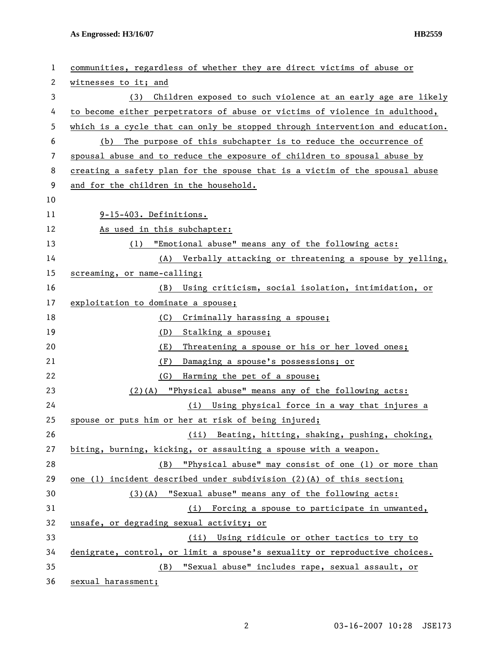**As Engrossed: H3/16/07 HB2559** 

| 1  | communities, regardless of whether they are direct victims of abuse or        |
|----|-------------------------------------------------------------------------------|
| 2  | witnesses to it; and                                                          |
| 3  | Children exposed to such violence at an early age are likely<br>(3)           |
| 4  | to become either perpetrators of abuse or victims of violence in adulthood,   |
| 5  | which is a cycle that can only be stopped through intervention and education. |
| 6  | The purpose of this subchapter is to reduce the occurrence of<br>(b)          |
| 7  | spousal abuse and to reduce the exposure of children to spousal abuse by      |
| 8  | creating a safety plan for the spouse that is a victim of the spousal abuse   |
| 9  | and for the children in the household.                                        |
| 10 |                                                                               |
| 11 | 9-15-403. Definitions.                                                        |
| 12 | As used in this subchapter:                                                   |
| 13 | "Emotional abuse" means any of the following acts:<br>(1)                     |
| 14 | Verbally attacking or threatening a spouse by yelling,<br>(A)                 |
| 15 | screaming, or name-calling;                                                   |
| 16 | Using criticism, social isolation, intimidation, or<br>(B)                    |
| 17 | exploitation to dominate a spouse;                                            |
| 18 | Criminally harassing a spouse;<br>(C)                                         |
| 19 | (D)<br>Stalking a spouse;                                                     |
| 20 | Threatening a spouse or his or her loved ones;<br>(E)                         |
| 21 | Damaging a spouse's possessions; or<br>(F)                                    |
| 22 | (G)<br>Harming the pet of a spouse;                                           |
| 23 | "Physical abuse" means any of the following acts:<br>$(2)$ (A)                |
| 24 | Using physical force in a way that injures a<br>(i)                           |
| 25 | spouse or puts him or her at risk of being injured;                           |
| 26 | Beating, hitting, shaking, pushing, choking,<br>(ii)                          |
| 27 | biting, burning, kicking, or assaulting a spouse with a weapon.               |
| 28 | "Physical abuse" may consist of one (1) or more than<br>(B)                   |
| 29 | one (1) incident described under subdivision $(2)(A)$ of this section;        |
| 30 | (3)(A) "Sexual abuse" means any of the following acts:                        |
| 31 | (i) Forcing a spouse to participate in unwanted,                              |
| 32 | unsafe, or degrading sexual activity; or                                      |
| 33 | (ii) Using ridicule or other tactics to try to                                |
| 34 | denigrate, control, or limit a spouse's sexuality or reproductive choices.    |
| 35 | "Sexual abuse" includes rape, sexual assault, or<br>(B)                       |
| 36 | sexual harassment;                                                            |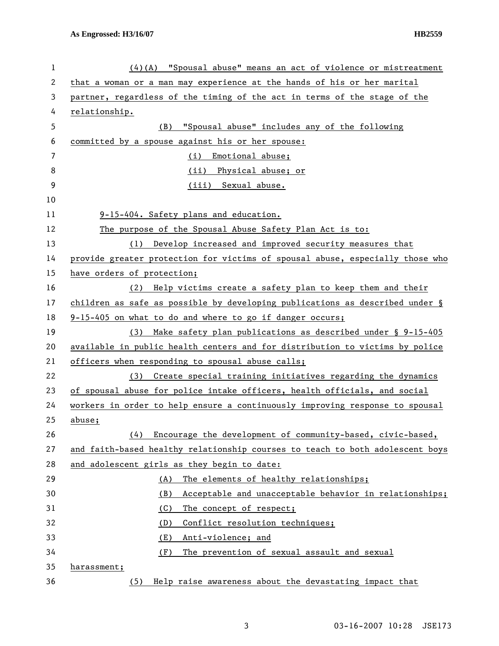| 1                | $(4)(A)$ "Spousal abuse" means an act of violence or mistreatment               |
|------------------|---------------------------------------------------------------------------------|
| 2                | that a woman or a man may experience at the hands of his or her marital         |
| 3                | partner, regardless of the timing of the act in terms of the stage of the       |
| 4                | relationship.                                                                   |
| 5                | "Spousal abuse" includes any of the following<br>(B)                            |
| 6                | committed by a spouse against his or her spouse:                                |
| $\overline{7}$   | Emotional abuse;<br>(i)                                                         |
| 8                | (ii) Physical abuse; or                                                         |
| $\boldsymbol{9}$ | (iii) Sexual abuse.                                                             |
| 10               |                                                                                 |
| 11               | 9-15-404. Safety plans and education.                                           |
| 12               | The purpose of the Spousal Abuse Safety Plan Act is to:                         |
| 13               | (1) Develop increased and improved security measures that                       |
| 14               | provide greater protection for victims of spousal abuse, especially those who   |
| 15               | have orders of protection;                                                      |
| 16               | Help victims create a safety plan to keep them and their<br>(2)                 |
| 17               | children as safe as possible by developing publications as described under $\S$ |
| 18               | 9-15-405 on what to do and where to go if danger occurs;                        |
| 19               | Make safety plan publications as described under $\S$ 9-15-405<br>(3)           |
| 20               | available in public health centers and for distribution to victims by police    |
| 21               | officers when responding to spousal abuse calls;                                |
| 22               | (3) Create special training initiatives regarding the dynamics                  |
| 23               | of spousal abuse for police intake officers, health officials, and social       |
| 24               | workers in order to help ensure a continuously improving response to spousal    |
| 25               | abuse;                                                                          |
| 26               | Encourage the development of community-based, civic-based,<br>(4)               |
| 27               | and faith-based healthy relationship courses to teach to both adolescent boys   |
| 28               | and adolescent girls as they begin to date:                                     |
| 29               | The elements of healthy relationships;<br>(A)                                   |
| 30               | (B)<br>Acceptable and unacceptable behavior in relationships;                   |
| 31               | (C)<br>The concept of respect;                                                  |
| 32               | (D)<br>Conflict resolution techniques;                                          |
| 33               | (E)<br>Anti-violence; and                                                       |
| 34               | (F)<br>The prevention of sexual assault and sexual                              |
| 35               | harassment;                                                                     |
| 36               | Help raise awareness about the devastating impact that<br>(5)                   |